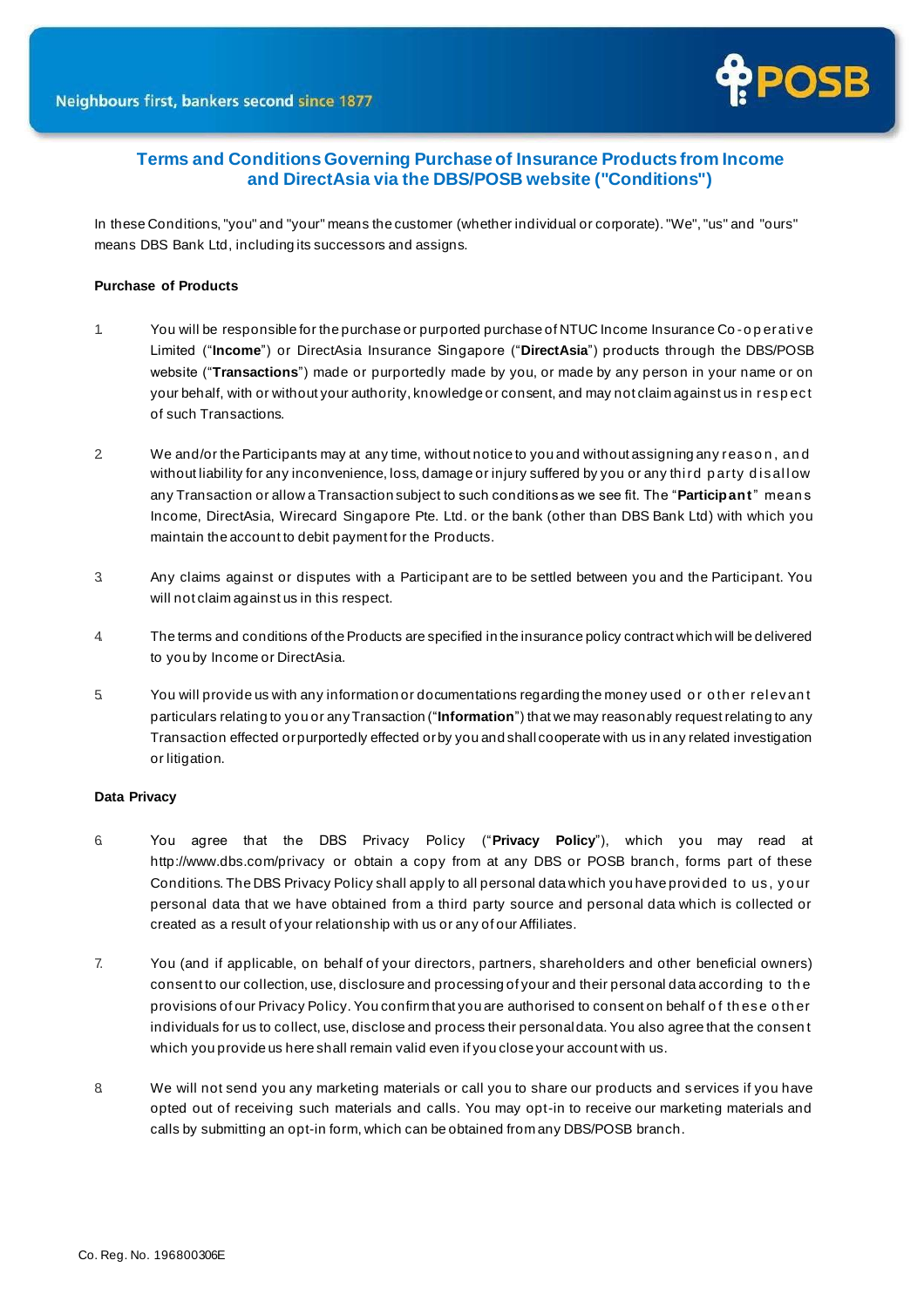

# **Terms and Conditions Governing Purchase of Insurance Products from Income and DirectAsia via the DBS/POSB website ("Conditions")**

In these Conditions, "you" and "your" means the customer (whether individual or corporate). "We", "us" and "ours" means DBS Bank Ltd, including its successors and assigns.

# **Purchase of Products**

- 1. You will be responsible for the purchase or purported purchase of NTUC Income Insurance Co -o p erati ve Limited ("**Income**") or DirectAsia Insurance Singapore ("**DirectAsia**") products through the DBS/POSB website ("**Transactions**") made or purportedly made by you, or made by any person in your name or on your behalf, with or without your authority, knowledge or consent, and may not claim against us in resp ect of such Transactions.
- 2. We and/or the Participants may at any time, without notice to you and without assigning any reaso n , an d without liability for any inconvenience, loss, damage or injury suffered by you or any third party disallow any Transaction or allow a Transaction subject to such conditions as we see fit. The "**Participant**" mean s Income, DirectAsia, Wirecard Singapore Pte. Ltd. or the bank (other than DBS Bank Ltd) with which you maintain the account to debit payment for the Products.
- 3. Any claims against or disputes with a Participant are to be settled between you and the Participant. You will not claim against us in this respect.
- 4. The terms and conditions of the Products are specified in the insurance policy contract which will be delivered to you by Income or DirectAsia.
- 5. You will provide us with any information or documentations regarding the money used o r o th er rel evan t particulars relating to you or anyTransaction ("**Information**") that we may reasonably request relating to any Transaction effected orpurportedly effected orby you and shall cooperate with us in any related investigation or litigation.

### **Data Privacy**

- 6. You agree that the DBS Privacy Policy ("**Privacy Policy**"), which you may read at <http://www.dbs.com/privacy> or obtain a copy from at any DBS or POSB branch, forms part of these Conditions. The DBS Privacy Policy shall apply to all personal data which you have provi ded to us, yo ur personal data that we have obtained from a third party source and personal data which is collected or created as a result of your relationship with us or any of our Affiliates.
- 7. You (and if applicable, on behalf of your directors, partners, shareholders and other beneficial owners) consent to our collection, use, disclosure and processing of your and their personal data according to th e provisions of our Privacy Policy. You confirm that you are authorised to consent on behalf of these other individuals for us to collect, use, disclose and process their personal data. You also agree that the consen t which you provide us here shall remain valid even if you close your account with us.
- 8. We will not send you any marketing materials or call you to share our products and s ervices if you have opted out of receiving such materials and calls. You may opt-in to receive our marketing materials and calls by submitting an opt-in form, which can be obtained from any DBS/POSB branch.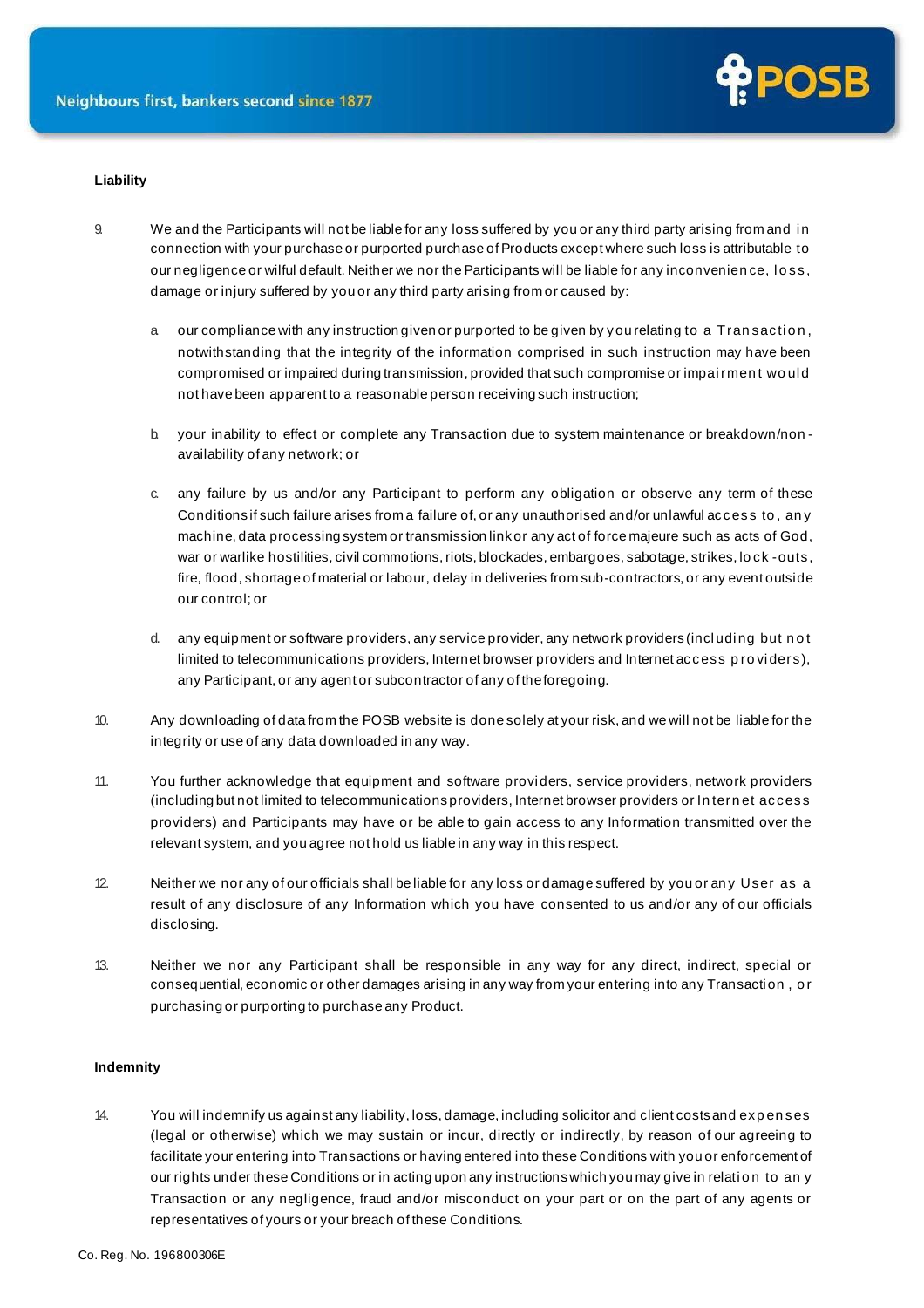

# **Liability**

- 9. We and the Participants will not be liable for any loss suffered by you or any third party arising from and i n connection with your purchase or purported purchase of Products except where such loss is attributable to our negligence or wilful default. Neither we nor the Participants will be liable for any inconvenien ce, l o ss, damage or injury suffered by you or any third party arising from or caused by:
	- a our compliance with any instruction given or purported to be given by you relating to a Tran saction, notwithstanding that the integrity of the information comprised in such instruction may have been compromised or impaired during transmission, provided that such compromise or impairment would not have been apparent to a reasonable person receiving such instruction;
	- b. your inability to effect or complete any Transaction due to system maintenance or breakdown/non availability of any network; or
	- c. any failure by us and/or any Participant to perform any obligation or observe any term of these Conditions if such failure arises from a failure of, or any unauthorised and/or unlawful access to , an y machine, data processing system or transmission link or any act of force majeure such as acts of God, war or warlike hostilities, civil commotions, riots, blockades, embargoes, sabotage, strikes, lock -outs, fire, flood, shortage of material or labour, delay in deliveries from sub-contractors, or any event outside our control; or
	- d. any equipment or software providers, any service provider, any network providers (including but not limited to telecommunications providers, Internet browser providers and Internet access p ro vi ders), any Participant, or any agent or subcontractor of any of theforegoing.
- 10. Any downloading of data from the POSB website is done solely at your risk, and we will not be liable for the integrity or use of any data downloaded in any way.
- 11. You further acknowledge that equipment and software providers, service providers, network providers (including but not limited to telecommunications providers, Internet browser providers or In tern et access providers) and Participants may have or be able to gain access to any Information transmitted over the relevant system, and you agree not hold us liable in any way in this respect.
- 12. Neither we nor any of our officials shall be liable for any loss or damage suffered by you or an y User as a result of any disclosure of any Information which you have consented to us and/or any of our officials disclosing.
- 13. Neither we nor any Participant shall be responsible in any way for any direct, indirect, special or consequential, economic or other damages arising in any way from your entering into any Transacti on , o r purchasing or purporting to purchase any Product.

### **Indemnity**

14. You will indemnify us against any liability, loss, damage, including solicitor and client costs and exp en ses (legal or otherwise) which we may sustain or incur, directly or indirectly, by reason of our agreeing to facilitate your entering into Transactions or having entered into these Conditions with you or enforcement of our rights under these Conditions or in acting upon any instructions which you may give in relation to an y Transaction or any negligence, fraud and/or misconduct on your part or on the part of any agents or representatives of yours or your breach of these Conditions.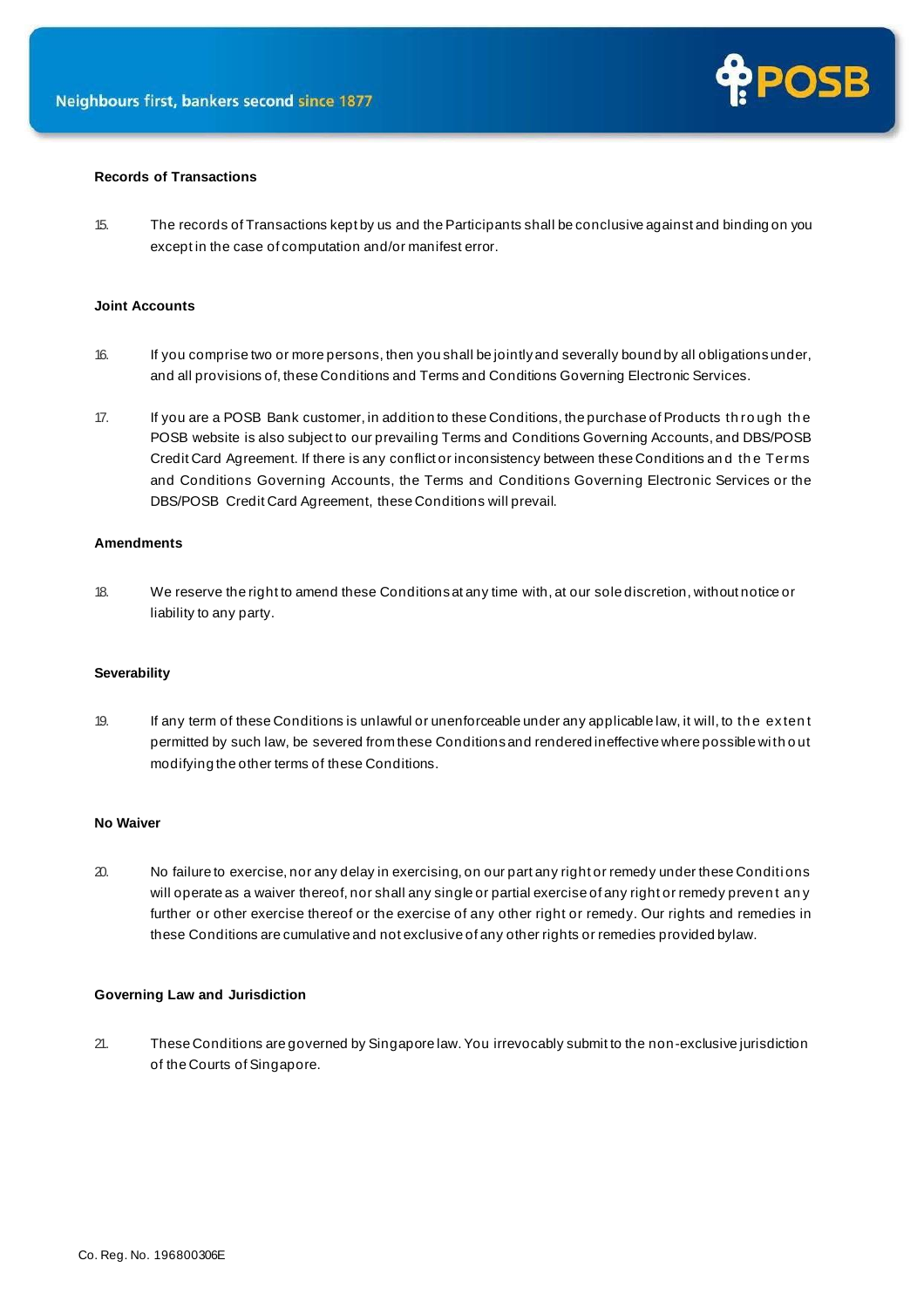

## **Records of Transactions**

15. The records of Transactions kept by us and the Participants shall be conclusive against and binding on you except in the case of computation and/or manifest error.

## **Joint Accounts**

- 16. If you comprise two or more persons, then you shall be jointly and severally bound by all obligations under, and all provisions of, these Conditions and Terms and Conditions Governing Electronic Services.
- 17. If you are a POSB Bank customer, in addition to these Conditions, the purchase of Products th ro ugh th e POSB website is also subject to our prevailing Terms and Conditions Governing Accounts, and DBS/POSB Credit Card Agreement. If there is any conflict or inconsistency between these Conditions an d th e Terms and Conditions Governing Accounts, the Terms and Conditions Governing Electronic Services or the DBS/POSB Credit Card Agreement, these Conditions will prevail.

# **Amendments**

18. We reserve the right to amend these Conditions at any time with, at our sole discretion, without notice or liability to any party.

#### **Severability**

19. If any term of these Conditions is unlawful or unenforceable under any applicable law, it will, to th e exten t permitted by such law, be severed from these Conditions and rendered ineffective where possible wi th o ut modifying the other terms of these Conditions.

#### **No Waiver**

20. No failure to exercise, nor any delay in exercising, on our part any right or remedy under these Conditions will operate as a waiver thereof, nor shall any single or partial exercise of any right or remedy preven t an y further or other exercise thereof or the exercise of any other right or remedy. Our rights and remedies in these Conditions are cumulative and not exclusive of any other rights or remedies provided bylaw.

#### **Governing Law and Jurisdiction**

21. These Conditions are governed by Singapore law. You irrevocably submit to the non-exclusive jurisdiction of the Courts of Singapore.